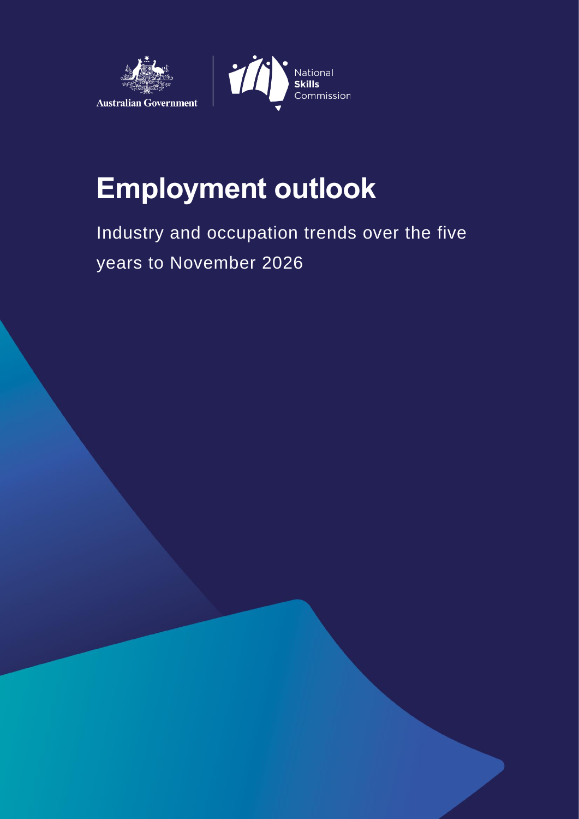



# **Employment outlook**

Industry and occupation trends over the five years to November 2026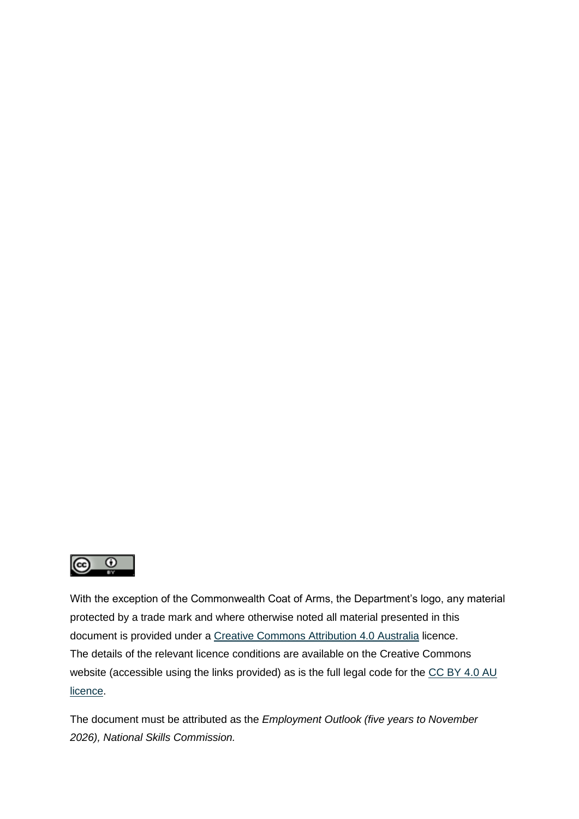

With the exception of the Commonwealth Coat of Arms, the Department's logo, any material protected by a trade mark and where otherwise noted all material presented in this document is provided under a [Creative Commons Attribution 4.0 Australia](https://creativecommons.org/licenses/by/4.0/) licence. The details of the relevant licence conditions are available on the Creative Commons website (accessible using the links provided) as is the full legal code for the CC BY 4.0 AU [licence.](https://creativecommons.org/licenses/by/4.0/legalcode)

The document must be attributed as the *Employment Outlook (five years to November 2026), National Skills Commission.*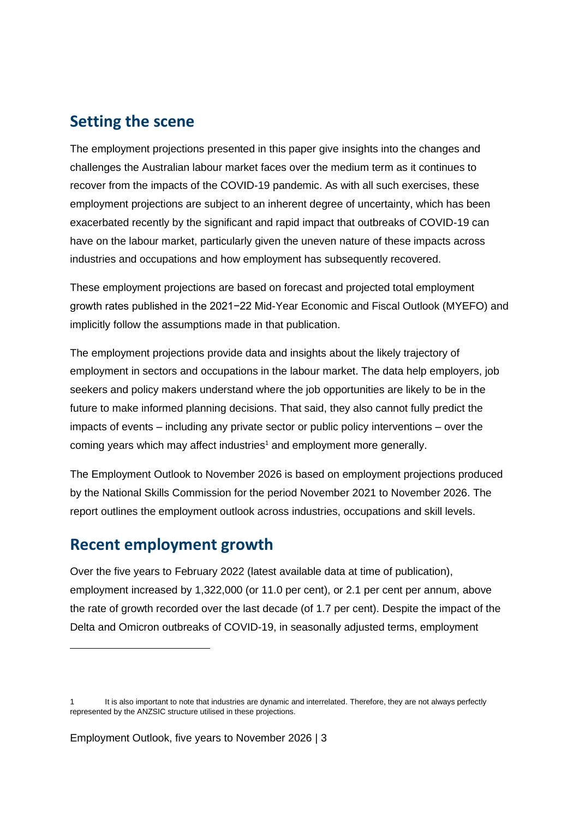#### **Setting the scene**

The employment projections presented in this paper give insights into the changes and challenges the Australian labour market faces over the medium term as it continues to recover from the impacts of the COVID-19 pandemic. As with all such exercises, these employment projections are subject to an inherent degree of uncertainty, which has been exacerbated recently by the significant and rapid impact that outbreaks of COVID-19 can have on the labour market, particularly given the uneven nature of these impacts across industries and occupations and how employment has subsequently recovered.

These employment projections are based on forecast and projected total employment growth rates published in the 2021−22 Mid-Year Economic and Fiscal Outlook (MYEFO) and implicitly follow the assumptions made in that publication.

The employment projections provide data and insights about the likely trajectory of employment in sectors and occupations in the labour market. The data help employers, job seekers and policy makers understand where the job opportunities are likely to be in the future to make informed planning decisions. That said, they also cannot fully predict the impacts of events – including any private sector or public policy interventions – over the coming years which may affect industries<sup>1</sup> and employment more generally.

The Employment Outlook to November 2026 is based on employment projections produced by the National Skills Commission for the period November 2021 to November 2026. The report outlines the employment outlook across industries, occupations and skill levels.

### **Recent employment growth**

Over the five years to February 2022 (latest available data at time of publication), employment increased by 1,322,000 (or 11.0 per cent), or 2.1 per cent per annum, above the rate of growth recorded over the last decade (of 1.7 per cent). Despite the impact of the Delta and Omicron outbreaks of COVID-19, in seasonally adjusted terms, employment

<sup>1</sup> It is also important to note that industries are dynamic and interrelated. Therefore, they are not always perfectly represented by the ANZSIC structure utilised in these projections.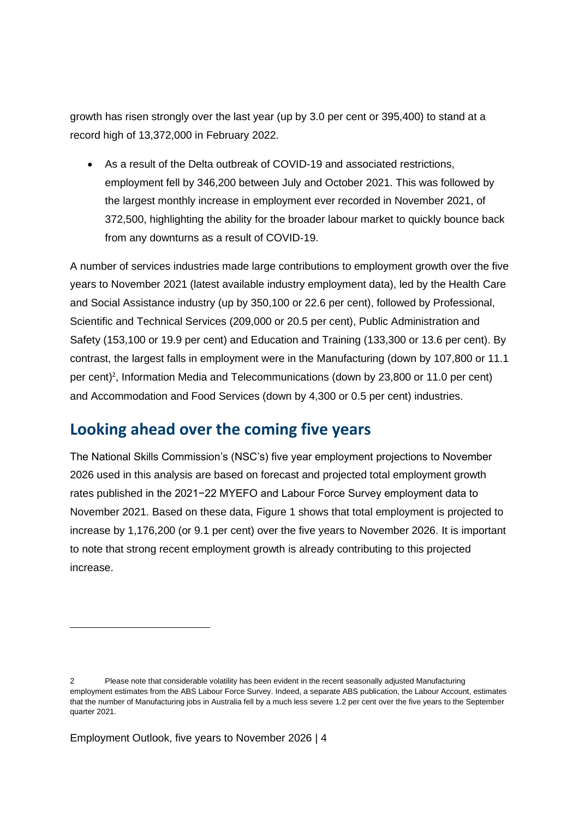growth has risen strongly over the last year (up by 3.0 per cent or 395,400) to stand at a record high of 13,372,000 in February 2022.

• As a result of the Delta outbreak of COVID-19 and associated restrictions, employment fell by 346,200 between July and October 2021. This was followed by the largest monthly increase in employment ever recorded in November 2021, of 372,500, highlighting the ability for the broader labour market to quickly bounce back from any downturns as a result of COVID-19.

A number of services industries made large contributions to employment growth over the five years to November 2021 (latest available industry employment data), led by the Health Care and Social Assistance industry (up by 350,100 or 22.6 per cent), followed by Professional, Scientific and Technical Services (209,000 or 20.5 per cent), Public Administration and Safety (153,100 or 19.9 per cent) and Education and Training (133,300 or 13.6 per cent). By contrast, the largest falls in employment were in the Manufacturing (down by 107,800 or 11.1 per cent)<sup>2</sup>, Information Media and Telecommunications (down by 23,800 or 11.0 per cent) and Accommodation and Food Services (down by 4,300 or 0.5 per cent) industries.

# **Looking ahead over the coming five years**

The National Skills Commission's (NSC's) five year employment projections to November 2026 used in this analysis are based on forecast and projected total employment growth rates published in the 2021−22 MYEFO and Labour Force Survey employment data to November 2021. Based on these data, Figure 1 shows that total employment is projected to increase by 1,176,200 (or 9.1 per cent) over the five years to November 2026. It is important to note that strong recent employment growth is already contributing to this projected increase.

<sup>2</sup> Please note that considerable volatility has been evident in the recent seasonally adjusted Manufacturing employment estimates from the ABS Labour Force Survey. Indeed, a separate ABS publication, the Labour Account, estimates that the number of Manufacturing jobs in Australia fell by a much less severe 1.2 per cent over the five years to the September quarter 2021.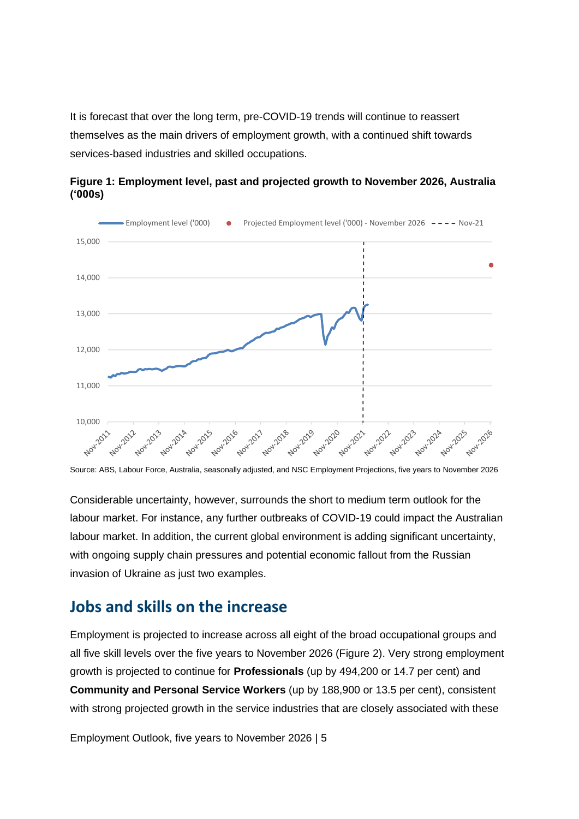It is forecast that over the long term, pre-COVID-19 trends will continue to reassert themselves as the main drivers of employment growth, with a continued shift towards services-based industries and skilled occupations.



**Figure 1: Employment level, past and projected growth to November 2026, Australia ('000s)**

Source: ABS, Labour Force, Australia, seasonally adjusted, and NSC Employment Projections, five years to November 2026

Considerable uncertainty, however, surrounds the short to medium term outlook for the labour market. For instance, any further outbreaks of COVID-19 could impact the Australian labour market. In addition, the current global environment is adding significant uncertainty, with ongoing supply chain pressures and potential economic fallout from the Russian invasion of Ukraine as just two examples.

### **Jobs and skills on the increase**

Employment is projected to increase across all eight of the broad occupational groups and all five skill levels over the five years to November 2026 (Figure 2). Very strong employment growth is projected to continue for **Professionals** (up by 494,200 or 14.7 per cent) and **Community and Personal Service Workers** (up by 188,900 or 13.5 per cent), consistent with strong projected growth in the service industries that are closely associated with these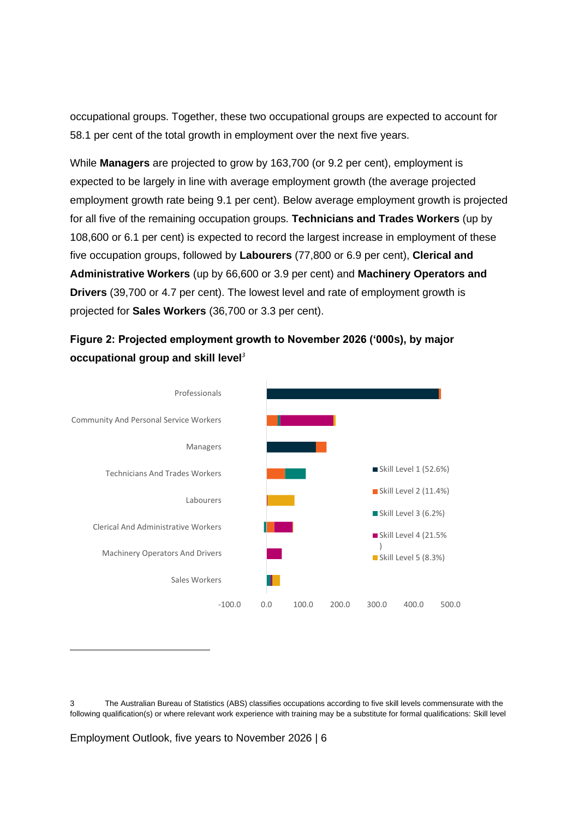occupational groups. Together, these two occupational groups are expected to account for 58.1 per cent of the total growth in employment over the next five years.

While **Managers** are projected to grow by 163,700 (or 9.2 per cent), employment is expected to be largely in line with average employment growth (the average projected employment growth rate being 9.1 per cent). Below average employment growth is projected for all five of the remaining occupation groups. **Technicians and Trades Workers** (up by 108,600 or 6.1 per cent) is expected to record the largest increase in employment of these five occupation groups, followed by **Labourers** (77,800 or 6.9 per cent), **Clerical and Administrative Workers** (up by 66,600 or 3.9 per cent) and **Machinery Operators and Drivers** (39,700 or 4.7 per cent). The lowest level and rate of employment growth is projected for **Sales Workers** (36,700 or 3.3 per cent).

#### **Figure 2: Projected employment growth to November 2026 ('000s), by major occupational group and skill level***<sup>3</sup>*



<sup>3</sup> The Australian Bureau of Statistics (ABS) classifies occupations according to five skill levels commensurate with the following qualification(s) or where relevant work experience with training may be a substitute for formal qualifications: Skill level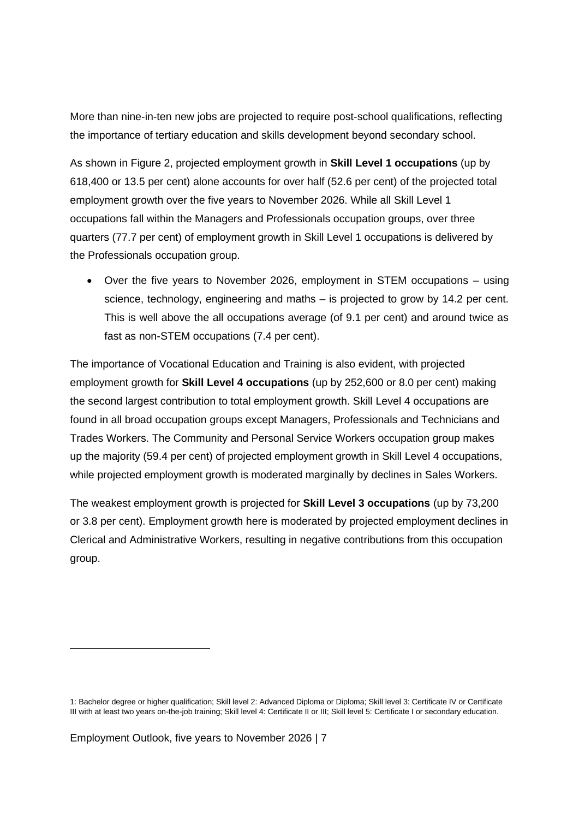More than nine-in-ten new jobs are projected to require post-school qualifications, reflecting the importance of tertiary education and skills development beyond secondary school.

As shown in Figure 2, projected employment growth in **Skill Level 1 occupations** (up by 618,400 or 13.5 per cent) alone accounts for over half (52.6 per cent) of the projected total employment growth over the five years to November 2026. While all Skill Level 1 occupations fall within the Managers and Professionals occupation groups, over three quarters (77.7 per cent) of employment growth in Skill Level 1 occupations is delivered by the Professionals occupation group.

• Over the five years to November 2026, employment in STEM occupations – using science, technology, engineering and maths – is projected to grow by 14.2 per cent. This is well above the all occupations average (of 9.1 per cent) and around twice as fast as non-STEM occupations (7.4 per cent).

The importance of Vocational Education and Training is also evident, with projected employment growth for **Skill Level 4 occupations** (up by 252,600 or 8.0 per cent) making the second largest contribution to total employment growth. Skill Level 4 occupations are found in all broad occupation groups except Managers, Professionals and Technicians and Trades Workers. The Community and Personal Service Workers occupation group makes up the majority (59.4 per cent) of projected employment growth in Skill Level 4 occupations, while projected employment growth is moderated marginally by declines in Sales Workers.

The weakest employment growth is projected for **Skill Level 3 occupations** (up by 73,200 or 3.8 per cent). Employment growth here is moderated by projected employment declines in Clerical and Administrative Workers, resulting in negative contributions from this occupation group.

<sup>1:</sup> Bachelor degree or higher qualification; Skill level 2: Advanced Diploma or Diploma; Skill level 3: Certificate IV or Certificate III with at least two years on-the-job training; Skill level 4: Certificate II or III; Skill level 5: Certificate I or secondary education.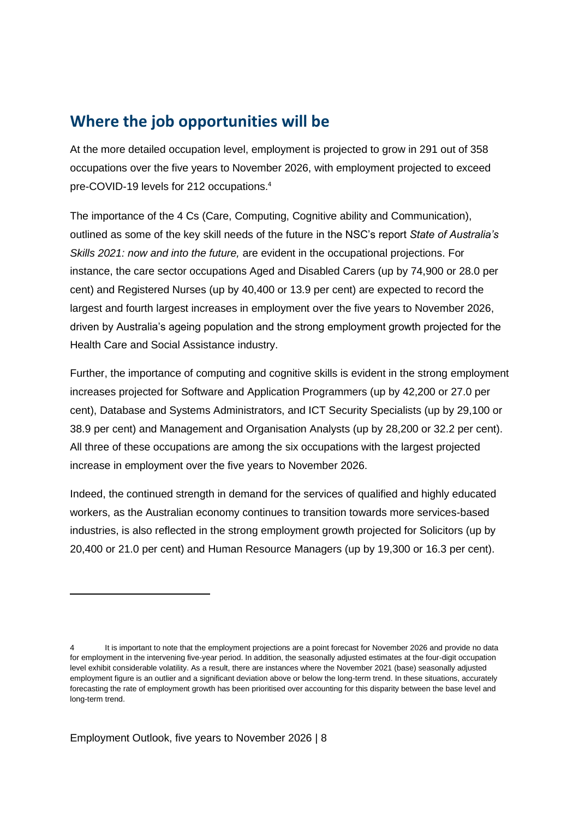### **Where the job opportunities will be**

At the more detailed occupation level, employment is projected to grow in 291 out of 358 occupations over the five years to November 2026, with employment projected to exceed pre-COVID-19 levels for 212 occupations.<sup>4</sup>

The importance of the 4 Cs (Care, Computing, Cognitive ability and Communication), outlined as some of the key skill needs of the future in the NSC's report *State of Australia's Skills 2021: now and into the future,* are evident in the occupational projections. For instance, the care sector occupations Aged and Disabled Carers (up by 74,900 or 28.0 per cent) and Registered Nurses (up by 40,400 or 13.9 per cent) are expected to record the largest and fourth largest increases in employment over the five years to November 2026, driven by Australia's ageing population and the strong employment growth projected for the Health Care and Social Assistance industry.

Further, the importance of computing and cognitive skills is evident in the strong employment increases projected for Software and Application Programmers (up by 42,200 or 27.0 per cent), Database and Systems Administrators, and ICT Security Specialists (up by 29,100 or 38.9 per cent) and Management and Organisation Analysts (up by 28,200 or 32.2 per cent). All three of these occupations are among the six occupations with the largest projected increase in employment over the five years to November 2026.

Indeed, the continued strength in demand for the services of qualified and highly educated workers, as the Australian economy continues to transition towards more services-based industries, is also reflected in the strong employment growth projected for Solicitors (up by 20,400 or 21.0 per cent) and Human Resource Managers (up by 19,300 or 16.3 per cent).

<sup>4</sup> It is important to note that the employment projections are a point forecast for November 2026 and provide no data for employment in the intervening five-year period. In addition, the seasonally adjusted estimates at the four-digit occupation level exhibit considerable volatility. As a result, there are instances where the November 2021 (base) seasonally adjusted employment figure is an outlier and a significant deviation above or below the long-term trend. In these situations, accurately forecasting the rate of employment growth has been prioritised over accounting for this disparity between the base level and long-term trend.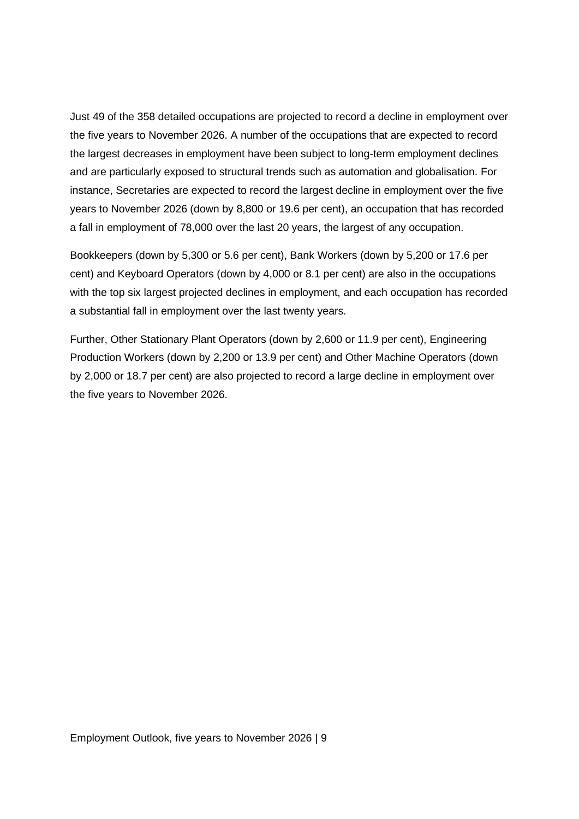Just 49 of the 358 detailed occupations are projected to record a decline in employment over the five years to November 2026. A number of the occupations that are expected to record the largest decreases in employment have been subject to long-term employment declines and are particularly exposed to structural trends such as automation and globalisation. For instance, Secretaries are expected to record the largest decline in employment over the five years to November 2026 (down by 8,800 or 19.6 per cent), an occupation that has recorded a fall in employment of 78,000 over the last 20 years, the largest of any occupation.

Bookkeepers (down by 5,300 or 5.6 per cent), Bank Workers (down by 5,200 or 17.6 per cent) and Keyboard Operators (down by 4,000 or 8.1 per cent) are also in the occupations with the top six largest projected declines in employment, and each occupation has recorded a substantial fall in employment over the last twenty years.

Further, Other Stationary Plant Operators (down by 2,600 or 11.9 per cent), Engineering Production Workers (down by 2,200 or 13.9 per cent) and Other Machine Operators (down by 2,000 or 18.7 per cent) are also projected to record a large decline in employment over the five years to November 2026.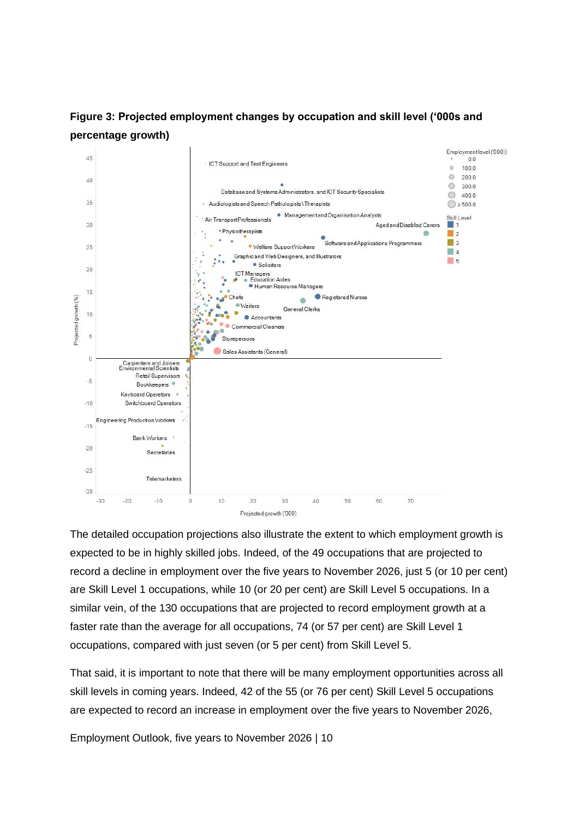



The detailed occupation projections also illustrate the extent to which employment growth is expected to be in highly skilled jobs. Indeed, of the 49 occupations that are projected to record a decline in employment over the five years to November 2026, just 5 (or 10 per cent) are Skill Level 1 occupations, while 10 (or 20 per cent) are Skill Level 5 occupations. In a similar vein, of the 130 occupations that are projected to record employment growth at a faster rate than the average for all occupations, 74 (or 57 per cent) are Skill Level 1 occupations, compared with just seven (or 5 per cent) from Skill Level 5.

That said, it is important to note that there will be many employment opportunities across all skill levels in coming years. Indeed, 42 of the 55 (or 76 per cent) Skill Level 5 occupations are expected to record an increase in employment over the five years to November 2026,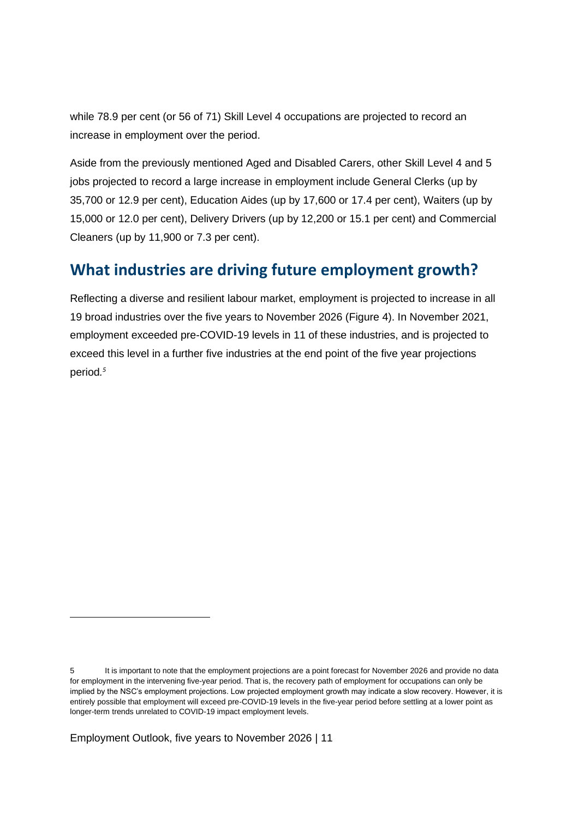while 78.9 per cent (or 56 of 71) Skill Level 4 occupations are projected to record an increase in employment over the period.

Aside from the previously mentioned Aged and Disabled Carers, other Skill Level 4 and 5 jobs projected to record a large increase in employment include General Clerks (up by 35,700 or 12.9 per cent), Education Aides (up by 17,600 or 17.4 per cent), Waiters (up by 15,000 or 12.0 per cent), Delivery Drivers (up by 12,200 or 15.1 per cent) and Commercial Cleaners (up by 11,900 or 7.3 per cent).

## **What industries are driving future employment growth?**

Reflecting a diverse and resilient labour market, employment is projected to increase in all 19 broad industries over the five years to November 2026 (Figure 4). In November 2021, employment exceeded pre-COVID-19 levels in 11 of these industries, and is projected to exceed this level in a further five industries at the end point of the five year projections period*. 5*

<sup>5</sup> It is important to note that the employment projections are a point forecast for November 2026 and provide no data for employment in the intervening five-year period. That is, the recovery path of employment for occupations can only be implied by the NSC's employment projections. Low projected employment growth may indicate a slow recovery. However, it is entirely possible that employment will exceed pre-COVID-19 levels in the five-year period before settling at a lower point as longer-term trends unrelated to COVID-19 impact employment levels.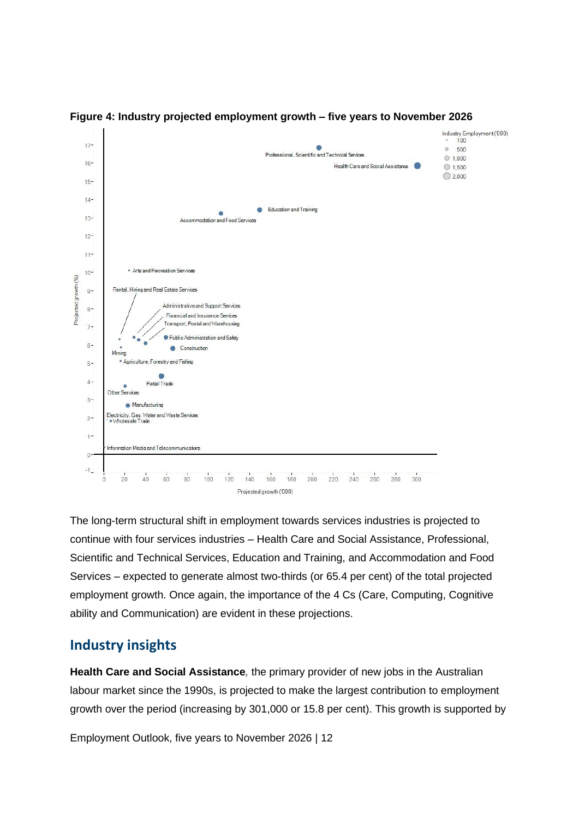

**Figure 4: Industry projected employment growth – five years to November 2026**

The long-term structural shift in employment towards services industries is projected to continue with four services industries – Health Care and Social Assistance, Professional, Scientific and Technical Services, Education and Training, and Accommodation and Food Services – expected to generate almost two-thirds (or 65.4 per cent) of the total projected employment growth. Once again, the importance of the 4 Cs (Care, Computing, Cognitive ability and Communication) are evident in these projections.

#### **Industry insights**

**Health Care and Social Assistance***,* the primary provider of new jobs in the Australian labour market since the 1990s, is projected to make the largest contribution to employment growth over the period (increasing by 301,000 or 15.8 per cent). This growth is supported by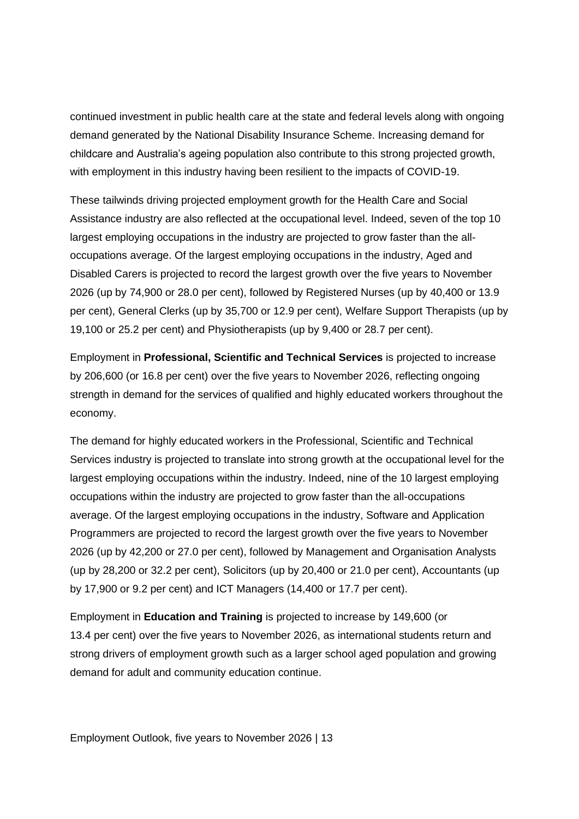continued investment in public health care at the state and federal levels along with ongoing demand generated by the National Disability Insurance Scheme. Increasing demand for childcare and Australia's ageing population also contribute to this strong projected growth, with employment in this industry having been resilient to the impacts of COVID-19.

These tailwinds driving projected employment growth for the Health Care and Social Assistance industry are also reflected at the occupational level. Indeed, seven of the top 10 largest employing occupations in the industry are projected to grow faster than the alloccupations average. Of the largest employing occupations in the industry, Aged and Disabled Carers is projected to record the largest growth over the five years to November 2026 (up by 74,900 or 28.0 per cent), followed by Registered Nurses (up by 40,400 or 13.9 per cent), General Clerks (up by 35,700 or 12.9 per cent), Welfare Support Therapists (up by 19,100 or 25.2 per cent) and Physiotherapists (up by 9,400 or 28.7 per cent).

Employment in **Professional, Scientific and Technical Services** is projected to increase by 206,600 (or 16.8 per cent) over the five years to November 2026, reflecting ongoing strength in demand for the services of qualified and highly educated workers throughout the economy.

The demand for highly educated workers in the Professional, Scientific and Technical Services industry is projected to translate into strong growth at the occupational level for the largest employing occupations within the industry. Indeed, nine of the 10 largest employing occupations within the industry are projected to grow faster than the all-occupations average. Of the largest employing occupations in the industry, Software and Application Programmers are projected to record the largest growth over the five years to November 2026 (up by 42,200 or 27.0 per cent), followed by Management and Organisation Analysts (up by 28,200 or 32.2 per cent), Solicitors (up by 20,400 or 21.0 per cent), Accountants (up by 17,900 or 9.2 per cent) and ICT Managers (14,400 or 17.7 per cent).

Employment in **Education and Training** is projected to increase by 149,600 (or 13.4 per cent) over the five years to November 2026, as international students return and strong drivers of employment growth such as a larger school aged population and growing demand for adult and community education continue.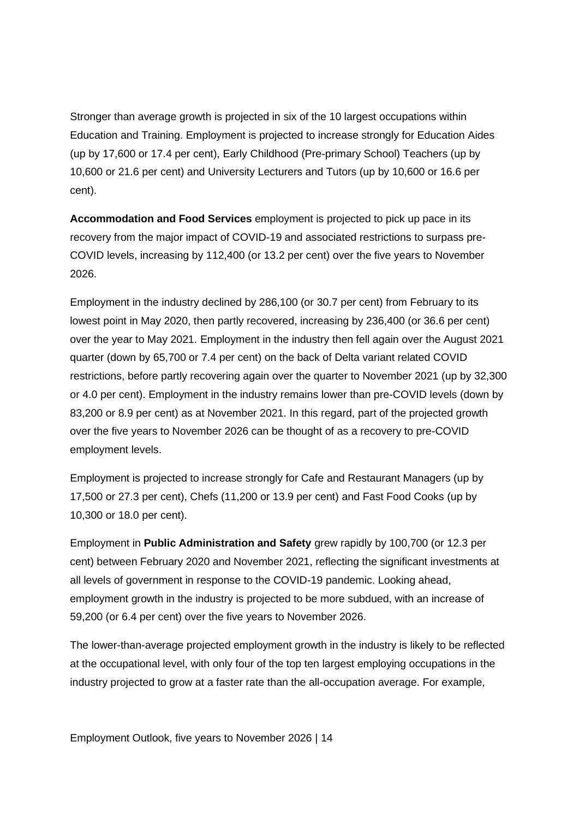Stronger than average growth is projected in six of the 10 largest occupations within Education and Training. Employment is projected to increase strongly for Education Aides (up by 17,600 or 17.4 per cent), Early Childhood (Pre-primary School) Teachers (up by 10,600 or 21.6 per cent) and University Lecturers and Tutors (up by 10,600 or 16.6 per cent).

**Accommodation and Food Services** employment is projected to pick up pace in its recovery from the major impact of COVID-19 and associated restrictions to surpass pre-COVID levels, increasing by 112,400 (or 13.2 per cent) over the five years to November 2026.

Employment in the industry declined by 286,100 (or 30.7 per cent) from February to its lowest point in May 2020, then partly recovered, increasing by 236,400 (or 36.6 per cent) over the year to May 2021. Employment in the industry then fell again over the August 2021 quarter (down by 65,700 or 7.4 per cent) on the back of Delta variant related COVID restrictions, before partly recovering again over the quarter to November 2021 (up by 32,300 or 4.0 per cent). Employment in the industry remains lower than pre-COVID levels (down by 83,200 or 8.9 per cent) as at November 2021. In this regard, part of the projected growth over the five years to November 2026 can be thought of as a recovery to pre-COVID employment levels.

Employment is projected to increase strongly for Cafe and Restaurant Managers (up by 17,500 or 27.3 per cent), Chefs (11,200 or 13.9 per cent) and Fast Food Cooks (up by 10,300 or 18.0 per cent).

Employment in **Public Administration and Safety** grew rapidly by 100,700 (or 12.3 per cent) between February 2020 and November 2021, reflecting the significant investments at all levels of government in response to the COVID-19 pandemic. Looking ahead, employment growth in the industry is projected to be more subdued, with an increase of 59,200 (or 6.4 per cent) over the five years to November 2026.

The lower-than-average projected employment growth in the industry is likely to be reflected at the occupational level, with only four of the top ten largest employing occupations in the industry projected to grow at a faster rate than the all-occupation average. For example,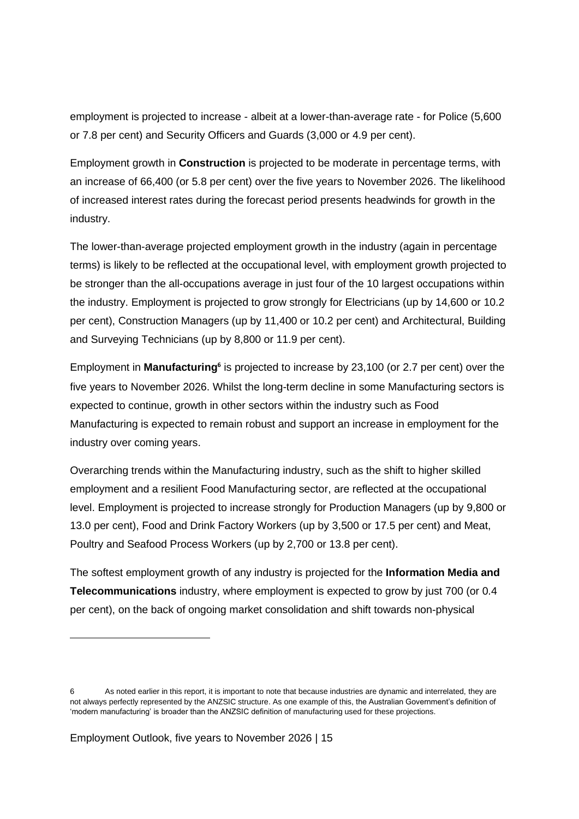employment is projected to increase - albeit at a lower-than-average rate - for Police (5,600 or 7.8 per cent) and Security Officers and Guards (3,000 or 4.9 per cent).

Employment growth in **Construction** is projected to be moderate in percentage terms, with an increase of 66,400 (or 5.8 per cent) over the five years to November 2026. The likelihood of increased interest rates during the forecast period presents headwinds for growth in the industry.

The lower-than-average projected employment growth in the industry (again in percentage terms) is likely to be reflected at the occupational level, with employment growth projected to be stronger than the all-occupations average in just four of the 10 largest occupations within the industry. Employment is projected to grow strongly for Electricians (up by 14,600 or 10.2 per cent), Construction Managers (up by 11,400 or 10.2 per cent) and Architectural, Building and Surveying Technicians (up by 8,800 or 11.9 per cent).

Employment in **Manufacturing<sup>6</sup>** is projected to increase by 23,100 (or 2.7 per cent) over the five years to November 2026. Whilst the long-term decline in some Manufacturing sectors is expected to continue, growth in other sectors within the industry such as Food Manufacturing is expected to remain robust and support an increase in employment for the industry over coming years.

Overarching trends within the Manufacturing industry, such as the shift to higher skilled employment and a resilient Food Manufacturing sector, are reflected at the occupational level. Employment is projected to increase strongly for Production Managers (up by 9,800 or 13.0 per cent), Food and Drink Factory Workers (up by 3,500 or 17.5 per cent) and Meat, Poultry and Seafood Process Workers (up by 2,700 or 13.8 per cent).

The softest employment growth of any industry is projected for the **Information Media and Telecommunications** industry, where employment is expected to grow by just 700 (or 0.4 per cent), on the back of ongoing market consolidation and shift towards non-physical

<sup>6</sup> As noted earlier in this report, it is important to note that because industries are dynamic and interrelated, they are not always perfectly represented by the ANZSIC structure. As one example of this, the Australian Government's definition of 'modern manufacturing' is broader than the ANZSIC definition of manufacturing used for these projections.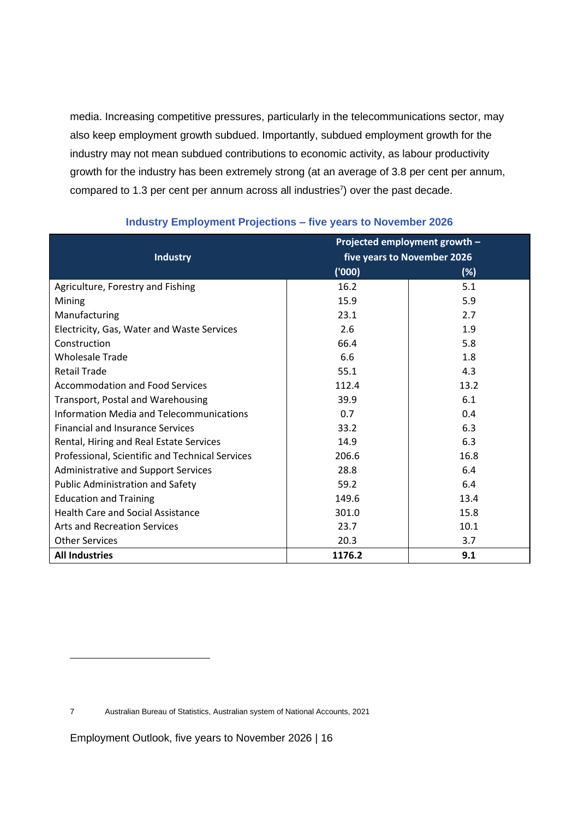media. Increasing competitive pressures, particularly in the telecommunications sector, may also keep employment growth subdued. Importantly, subdued employment growth for the industry may not mean subdued contributions to economic activity, as labour productivity growth for the industry has been extremely strong (at an average of 3.8 per cent per annum, compared to 1.3 per cent per annum across all industries<sup>7</sup>) over the past decade.

|                                                 | Projected employment growth - |        |
|-------------------------------------------------|-------------------------------|--------|
| <b>Industry</b>                                 | five years to November 2026   |        |
|                                                 | (000)                         | $(\%)$ |
| Agriculture, Forestry and Fishing               | 16.2                          | 5.1    |
| Mining                                          | 15.9                          | 5.9    |
| Manufacturing                                   | 23.1                          | 2.7    |
| Electricity, Gas, Water and Waste Services      | 2.6                           | 1.9    |
| Construction                                    | 66.4                          | 5.8    |
| <b>Wholesale Trade</b>                          | 6.6                           | 1.8    |
| <b>Retail Trade</b>                             | 55.1                          | 4.3    |
| <b>Accommodation and Food Services</b>          | 112.4                         | 13.2   |
| Transport, Postal and Warehousing               | 39.9                          | 6.1    |
| Information Media and Telecommunications        | 0.7                           | 0.4    |
| <b>Financial and Insurance Services</b>         | 33.2                          | 6.3    |
| Rental, Hiring and Real Estate Services         | 14.9                          | 6.3    |
| Professional, Scientific and Technical Services | 206.6                         | 16.8   |
| <b>Administrative and Support Services</b>      | 28.8                          | 6.4    |
| <b>Public Administration and Safety</b>         | 59.2                          | 6.4    |
| <b>Education and Training</b>                   | 149.6                         | 13.4   |
| <b>Health Care and Social Assistance</b>        | 301.0                         | 15.8   |
| <b>Arts and Recreation Services</b>             | 23.7                          | 10.1   |
| <b>Other Services</b>                           | 20.3                          | 3.7    |
| <b>All Industries</b>                           | 1176.2                        | 9.1    |

#### **Industry Employment Projections – five years to November 2026**

<sup>7</sup> Australian Bureau of Statistics, Australian system of National Accounts, 2021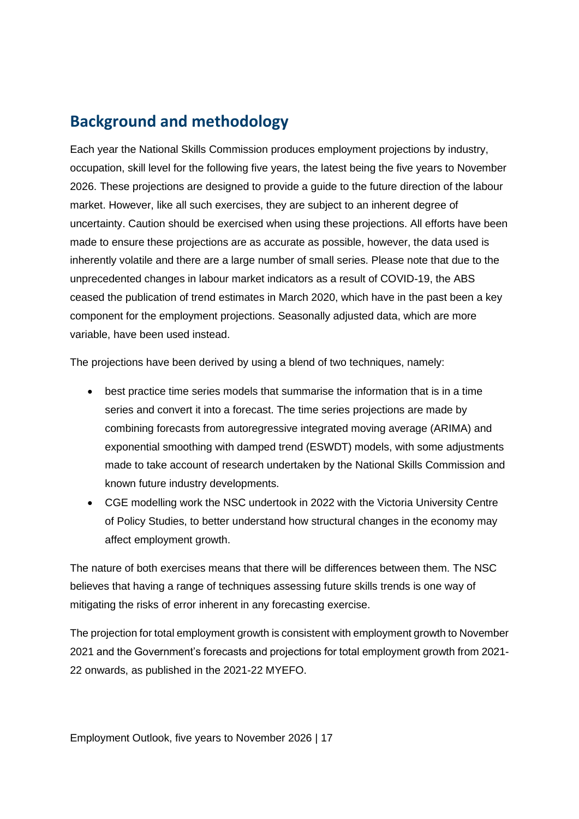### **Background and methodology**

Each year the National Skills Commission produces employment projections by industry, occupation, skill level for the following five years, the latest being the five years to November 2026. These projections are designed to provide a guide to the future direction of the labour market. However, like all such exercises, they are subject to an inherent degree of uncertainty. Caution should be exercised when using these projections. All efforts have been made to ensure these projections are as accurate as possible, however, the data used is inherently volatile and there are a large number of small series. Please note that due to the unprecedented changes in labour market indicators as a result of COVID-19, the ABS ceased the publication of trend estimates in March 2020, which have in the past been a key component for the employment projections. Seasonally adjusted data, which are more variable, have been used instead.

The projections have been derived by using a blend of two techniques, namely:

- best practice time series models that summarise the information that is in a time series and convert it into a forecast. The time series projections are made by combining forecasts from autoregressive integrated moving average (ARIMA) and exponential smoothing with damped trend (ESWDT) models, with some adjustments made to take account of research undertaken by the National Skills Commission and known future industry developments.
- CGE modelling work the NSC undertook in 2022 with the Victoria University Centre of Policy Studies, to better understand how structural changes in the economy may affect employment growth.

The nature of both exercises means that there will be differences between them. The NSC believes that having a range of techniques assessing future skills trends is one way of mitigating the risks of error inherent in any forecasting exercise.

The projection for total employment growth is consistent with employment growth to November 2021 and the Government's forecasts and projections for total employment growth from 2021- 22 onwards, as published in the 2021-22 MYEFO.